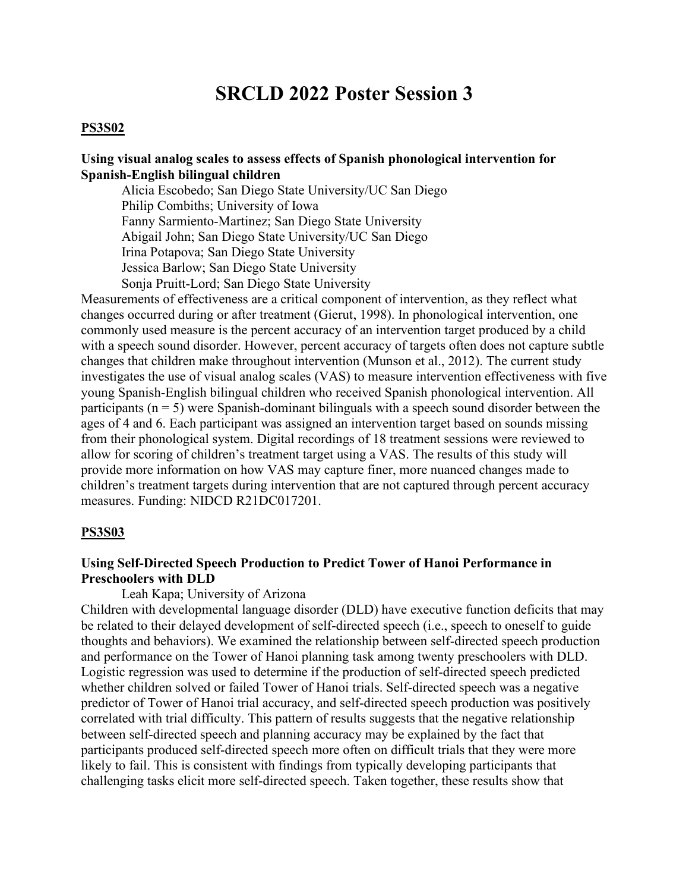# **SRCLD 2022 Poster Session 3**

#### **PS3S02**

#### **Using visual analog scales to assess effects of Spanish phonological intervention for Spanish-English bilingual children**

 Alicia Escobedo; San Diego State University/UC San Diego Philip Combiths; University of Iowa Fanny Sarmiento-Martinez; San Diego State University Abigail John; San Diego State University/UC San Diego Irina Potapova; San Diego State University Jessica Barlow; San Diego State University Sonja Pruitt-Lord; San Diego State University

Measurements of effectiveness are a critical component of intervention, as they reflect what changes occurred during or after treatment (Gierut, 1998). In phonological intervention, one commonly used measure is the percent accuracy of an intervention target produced by a child with a speech sound disorder. However, percent accuracy of targets often does not capture subtle changes that children make throughout intervention (Munson et al., 2012). The current study investigates the use of visual analog scales (VAS) to measure intervention effectiveness with five young Spanish-English bilingual children who received Spanish phonological intervention. All participants ( $n = 5$ ) were Spanish-dominant bilinguals with a speech sound disorder between the ages of 4 and 6. Each participant was assigned an intervention target based on sounds missing from their phonological system. Digital recordings of 18 treatment sessions were reviewed to allow for scoring of children's treatment target using a VAS. The results of this study will provide more information on how VAS may capture finer, more nuanced changes made to children's treatment targets during intervention that are not captured through percent accuracy measures. Funding: NIDCD R21DC017201.

#### **PS3S03**

### **Using Self-Directed Speech Production to Predict Tower of Hanoi Performance in Preschoolers with DLD**

Leah Kapa; University of Arizona

Children with developmental language disorder (DLD) have executive function deficits that may be related to their delayed development of self-directed speech (i.e., speech to oneself to guide thoughts and behaviors). We examined the relationship between self-directed speech production and performance on the Tower of Hanoi planning task among twenty preschoolers with DLD. Logistic regression was used to determine if the production of self-directed speech predicted whether children solved or failed Tower of Hanoi trials. Self-directed speech was a negative predictor of Tower of Hanoi trial accuracy, and self-directed speech production was positively correlated with trial difficulty. This pattern of results suggests that the negative relationship between self-directed speech and planning accuracy may be explained by the fact that participants produced self-directed speech more often on difficult trials that they were more likely to fail. This is consistent with findings from typically developing participants that challenging tasks elicit more self-directed speech. Taken together, these results show that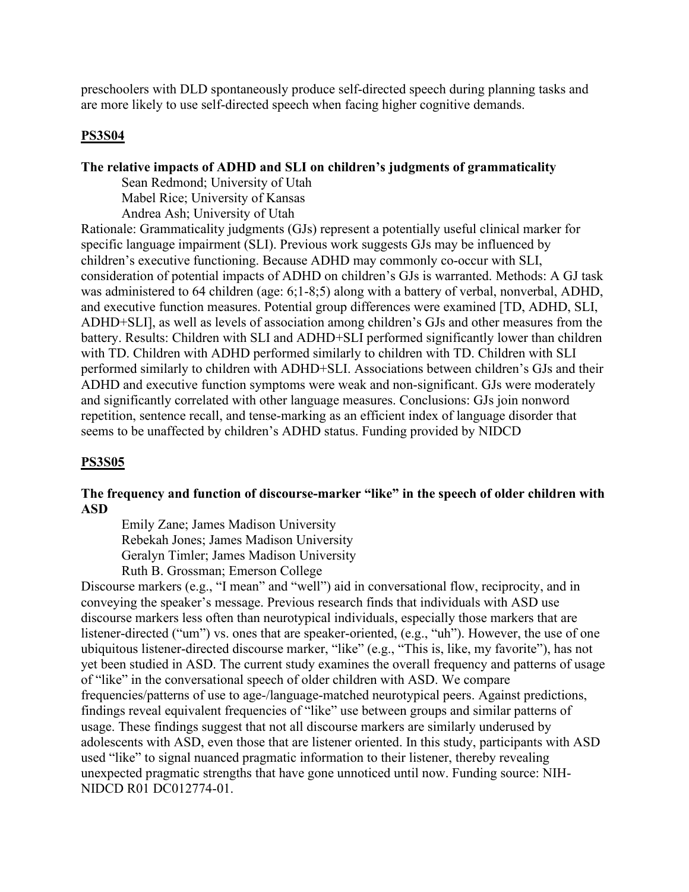preschoolers with DLD spontaneously produce self-directed speech during planning tasks and are more likely to use self-directed speech when facing higher cognitive demands.

# **PS3S04**

# **The relative impacts of ADHD and SLI on children's judgments of grammaticality**

 Sean Redmond; University of Utah Mabel Rice; University of Kansas

Andrea Ash; University of Utah

Rationale: Grammaticality judgments (GJs) represent a potentially useful clinical marker for specific language impairment (SLI). Previous work suggests GJs may be influenced by children's executive functioning. Because ADHD may commonly co-occur with SLI, consideration of potential impacts of ADHD on children's GJs is warranted. Methods: A GJ task was administered to 64 children (age: 6;1-8;5) along with a battery of verbal, nonverbal, ADHD, and executive function measures. Potential group differences were examined [TD, ADHD, SLI, ADHD+SLI], as well as levels of association among children's GJs and other measures from the battery. Results: Children with SLI and ADHD+SLI performed significantly lower than children with TD. Children with ADHD performed similarly to children with TD. Children with SLI performed similarly to children with ADHD+SLI. Associations between children's GJs and their ADHD and executive function symptoms were weak and non-significant. GJs were moderately and significantly correlated with other language measures. Conclusions: GJs join nonword repetition, sentence recall, and tense-marking as an efficient index of language disorder that seems to be unaffected by children's ADHD status. Funding provided by NIDCD

# **PS3S05**

# **The frequency and function of discourse-marker "like" in the speech of older children with ASD**

Emily Zane; James Madison University Rebekah Jones; James Madison University Geralyn Timler; James Madison University Ruth B. Grossman; Emerson College

Discourse markers (e.g., "I mean" and "well") aid in conversational flow, reciprocity, and in conveying the speaker's message. Previous research finds that individuals with ASD use discourse markers less often than neurotypical individuals, especially those markers that are listener-directed ("um") vs. ones that are speaker-oriented, (e.g., "uh"). However, the use of one ubiquitous listener-directed discourse marker, "like" (e.g., "This is, like, my favorite"), has not yet been studied in ASD. The current study examines the overall frequency and patterns of usage of "like" in the conversational speech of older children with ASD. We compare frequencies/patterns of use to age-/language-matched neurotypical peers. Against predictions, findings reveal equivalent frequencies of "like" use between groups and similar patterns of usage. These findings suggest that not all discourse markers are similarly underused by adolescents with ASD, even those that are listener oriented. In this study, participants with ASD used "like" to signal nuanced pragmatic information to their listener, thereby revealing unexpected pragmatic strengths that have gone unnoticed until now. Funding source: NIH-NIDCD R01 DC012774-01.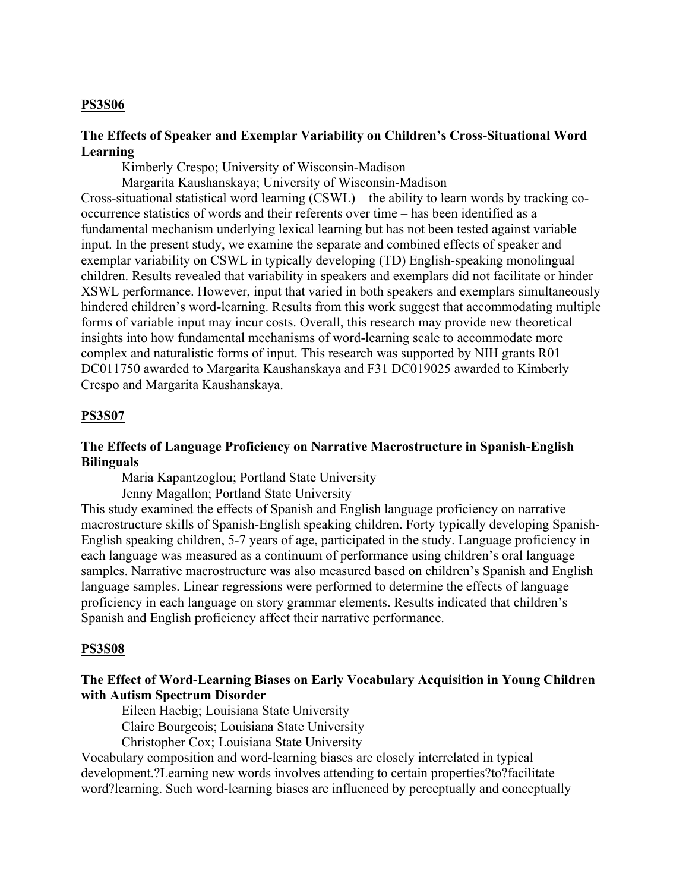### **PS3S06**

### **The Effects of Speaker and Exemplar Variability on Children's Cross-Situational Word Learning**

Kimberly Crespo; University of Wisconsin-Madison

Margarita Kaushanskaya; University of Wisconsin-Madison

Cross-situational statistical word learning (CSWL) – the ability to learn words by tracking cooccurrence statistics of words and their referents over time – has been identified as a fundamental mechanism underlying lexical learning but has not been tested against variable input. In the present study, we examine the separate and combined effects of speaker and exemplar variability on CSWL in typically developing (TD) English-speaking monolingual children. Results revealed that variability in speakers and exemplars did not facilitate or hinder XSWL performance. However, input that varied in both speakers and exemplars simultaneously hindered children's word-learning. Results from this work suggest that accommodating multiple forms of variable input may incur costs. Overall, this research may provide new theoretical insights into how fundamental mechanisms of word-learning scale to accommodate more complex and naturalistic forms of input. This research was supported by NIH grants R01 DC011750 awarded to Margarita Kaushanskaya and F31 DC019025 awarded to Kimberly Crespo and Margarita Kaushanskaya.

# **PS3S07**

### **The Effects of Language Proficiency on Narrative Macrostructure in Spanish-English Bilinguals**

Maria Kapantzoglou; Portland State University

Jenny Magallon; Portland State University

This study examined the effects of Spanish and English language proficiency on narrative macrostructure skills of Spanish-English speaking children. Forty typically developing Spanish-English speaking children, 5-7 years of age, participated in the study. Language proficiency in each language was measured as a continuum of performance using children's oral language samples. Narrative macrostructure was also measured based on children's Spanish and English language samples. Linear regressions were performed to determine the effects of language proficiency in each language on story grammar elements. Results indicated that children's Spanish and English proficiency affect their narrative performance.

#### **PS3S08**

# **The Effect of Word-Learning Biases on Early Vocabulary Acquisition in Young Children with Autism Spectrum Disorder**

Eileen Haebig; Louisiana State University

Claire Bourgeois; Louisiana State University

Christopher Cox; Louisiana State University

Vocabulary composition and word-learning biases are closely interrelated in typical development.?Learning new words involves attending to certain properties?to?facilitate word?learning. Such word-learning biases are influenced by perceptually and conceptually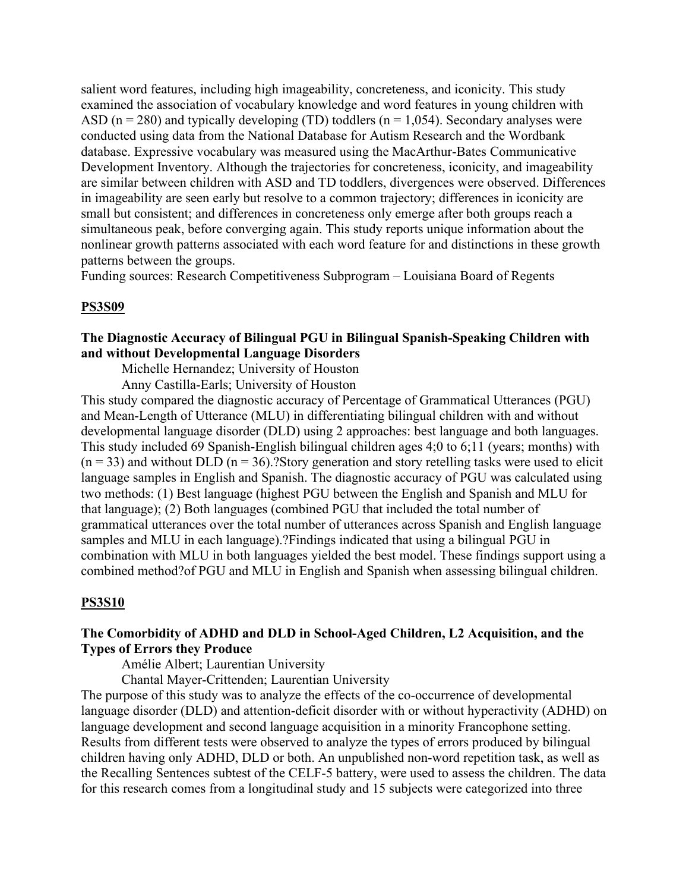salient word features, including high imageability, concreteness, and iconicity. This study examined the association of vocabulary knowledge and word features in young children with ASD ( $n = 280$ ) and typically developing (TD) toddlers ( $n = 1,054$ ). Secondary analyses were conducted using data from the National Database for Autism Research and the Wordbank database. Expressive vocabulary was measured using the MacArthur-Bates Communicative Development Inventory. Although the trajectories for concreteness, iconicity, and imageability are similar between children with ASD and TD toddlers, divergences were observed. Differences in imageability are seen early but resolve to a common trajectory; differences in iconicity are small but consistent; and differences in concreteness only emerge after both groups reach a simultaneous peak, before converging again. This study reports unique information about the nonlinear growth patterns associated with each word feature for and distinctions in these growth patterns between the groups.

Funding sources: Research Competitiveness Subprogram – Louisiana Board of Regents

#### **PS3S09**

# **The Diagnostic Accuracy of Bilingual PGU in Bilingual Spanish-Speaking Children with and without Developmental Language Disorders**

Michelle Hernandez; University of Houston

Anny Castilla-Earls; University of Houston

This study compared the diagnostic accuracy of Percentage of Grammatical Utterances (PGU) and Mean-Length of Utterance (MLU) in differentiating bilingual children with and without developmental language disorder (DLD) using 2 approaches: best language and both languages. This study included 69 Spanish-English bilingual children ages 4;0 to 6;11 (years; months) with  $(n = 33)$  and without DLD  $(n = 36)$ . Story generation and story retelling tasks were used to elicit language samples in English and Spanish. The diagnostic accuracy of PGU was calculated using two methods: (1) Best language (highest PGU between the English and Spanish and MLU for that language); (2) Both languages (combined PGU that included the total number of grammatical utterances over the total number of utterances across Spanish and English language samples and MLU in each language).?Findings indicated that using a bilingual PGU in combination with MLU in both languages yielded the best model. These findings support using a combined method?of PGU and MLU in English and Spanish when assessing bilingual children.

#### **PS3S10**

### **The Comorbidity of ADHD and DLD in School-Aged Children, L2 Acquisition, and the Types of Errors they Produce**

Amélie Albert; Laurentian University

Chantal Mayer-Crittenden; Laurentian University

The purpose of this study was to analyze the effects of the co-occurrence of developmental language disorder (DLD) and attention-deficit disorder with or without hyperactivity (ADHD) on language development and second language acquisition in a minority Francophone setting. Results from different tests were observed to analyze the types of errors produced by bilingual children having only ADHD, DLD or both. An unpublished non-word repetition task, as well as the Recalling Sentences subtest of the CELF-5 battery, were used to assess the children. The data for this research comes from a longitudinal study and 15 subjects were categorized into three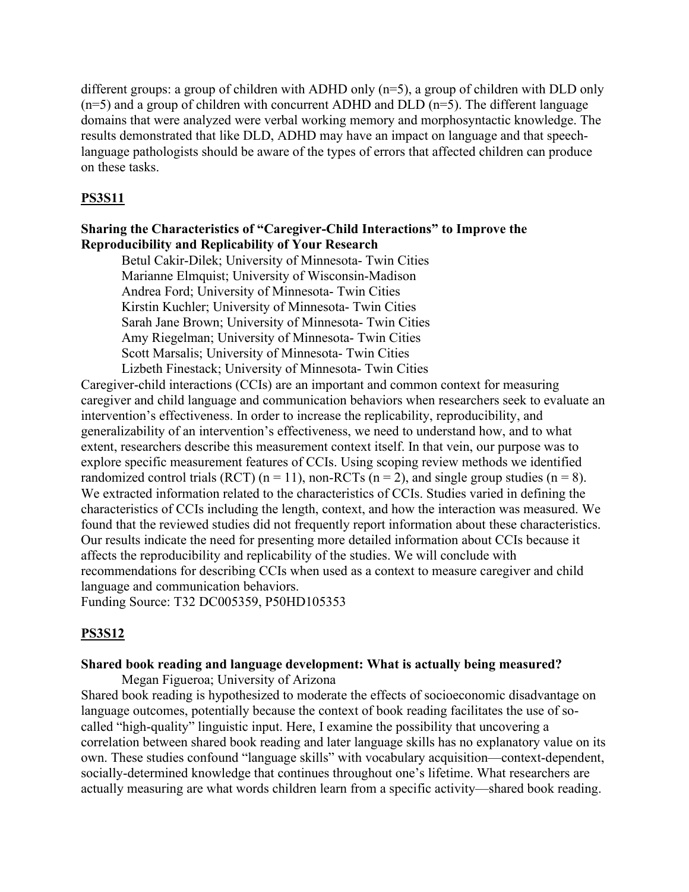different groups: a group of children with ADHD only (n=5), a group of children with DLD only  $(n=5)$  and a group of children with concurrent ADHD and DLD  $(n=5)$ . The different language domains that were analyzed were verbal working memory and morphosyntactic knowledge. The results demonstrated that like DLD, ADHD may have an impact on language and that speechlanguage pathologists should be aware of the types of errors that affected children can produce on these tasks.

### **PS3S11**

# **Sharing the Characteristics of "Caregiver-Child Interactions" to Improve the Reproducibility and Replicability of Your Research**

Betul Cakir-Dilek; University of Minnesota- Twin Cities Marianne Elmquist; University of Wisconsin-Madison Andrea Ford; University of Minnesota- Twin Cities Kirstin Kuchler; University of Minnesota- Twin Cities Sarah Jane Brown; University of Minnesota- Twin Cities Amy Riegelman; University of Minnesota- Twin Cities Scott Marsalis; University of Minnesota- Twin Cities Lizbeth Finestack; University of Minnesota- Twin Cities

Caregiver-child interactions (CCIs) are an important and common context for measuring caregiver and child language and communication behaviors when researchers seek to evaluate an intervention's effectiveness. In order to increase the replicability, reproducibility, and generalizability of an intervention's effectiveness, we need to understand how, and to what extent, researchers describe this measurement context itself. In that vein, our purpose was to explore specific measurement features of CCIs. Using scoping review methods we identified randomized control trials (RCT) ( $n = 11$ ), non-RCTs ( $n = 2$ ), and single group studies ( $n = 8$ ). We extracted information related to the characteristics of CCIs. Studies varied in defining the characteristics of CCIs including the length, context, and how the interaction was measured. We found that the reviewed studies did not frequently report information about these characteristics. Our results indicate the need for presenting more detailed information about CCIs because it affects the reproducibility and replicability of the studies. We will conclude with recommendations for describing CCIs when used as a context to measure caregiver and child language and communication behaviors.

Funding Source: T32 DC005359, P50HD105353

#### **PS3S12**

# **Shared book reading and language development: What is actually being measured?**

Megan Figueroa; University of Arizona

Shared book reading is hypothesized to moderate the effects of socioeconomic disadvantage on language outcomes, potentially because the context of book reading facilitates the use of socalled "high-quality" linguistic input. Here, I examine the possibility that uncovering a correlation between shared book reading and later language skills has no explanatory value on its own. These studies confound "language skills" with vocabulary acquisition––context-dependent, socially-determined knowledge that continues throughout one's lifetime. What researchers are actually measuring are what words children learn from a specific activity—shared book reading.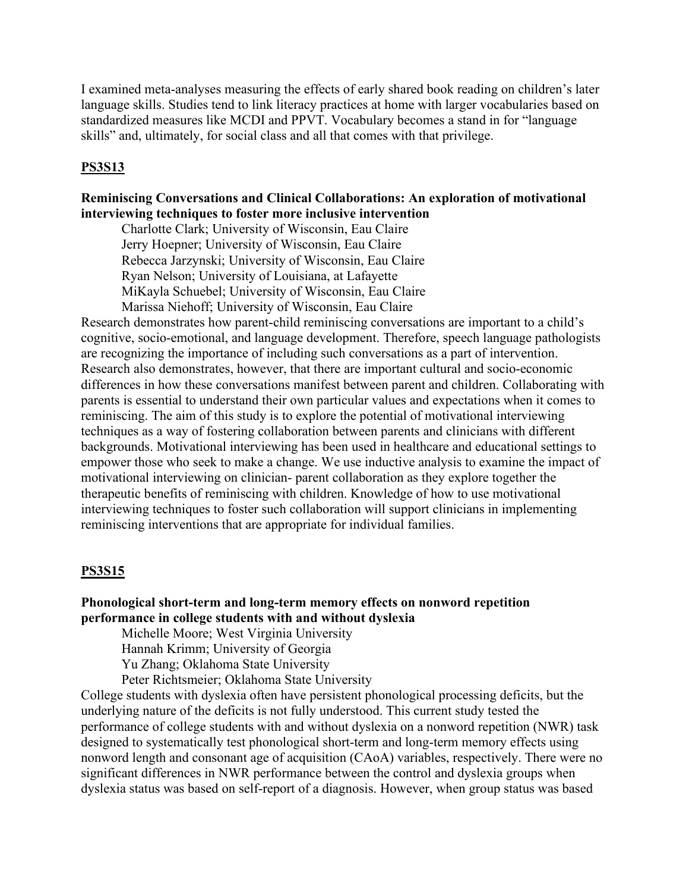I examined meta-analyses measuring the effects of early shared book reading on children's later language skills. Studies tend to link literacy practices at home with larger vocabularies based on standardized measures like MCDI and PPVT. Vocabulary becomes a stand in for "language skills" and, ultimately, for social class and all that comes with that privilege.

# **PS3S13**

# **Reminiscing Conversations and Clinical Collaborations: An exploration of motivational interviewing techniques to foster more inclusive intervention**

 Charlotte Clark; University of Wisconsin, Eau Claire Jerry Hoepner; University of Wisconsin, Eau Claire Rebecca Jarzynski; University of Wisconsin, Eau Claire Ryan Nelson; University of Louisiana, at Lafayette MiKayla Schuebel; University of Wisconsin, Eau Claire Marissa Niehoff; University of Wisconsin, Eau Claire

Research demonstrates how parent-child reminiscing conversations are important to a child's cognitive, socio-emotional, and language development. Therefore, speech language pathologists are recognizing the importance of including such conversations as a part of intervention. Research also demonstrates, however, that there are important cultural and socio-economic differences in how these conversations manifest between parent and children. Collaborating with parents is essential to understand their own particular values and expectations when it comes to reminiscing. The aim of this study is to explore the potential of motivational interviewing techniques as a way of fostering collaboration between parents and clinicians with different backgrounds. Motivational interviewing has been used in healthcare and educational settings to empower those who seek to make a change. We use inductive analysis to examine the impact of motivational interviewing on clinician- parent collaboration as they explore together the therapeutic benefits of reminiscing with children. Knowledge of how to use motivational interviewing techniques to foster such collaboration will support clinicians in implementing reminiscing interventions that are appropriate for individual families.

# **PS3S15**

# **Phonological short-term and long-term memory effects on nonword repetition performance in college students with and without dyslexia**

Michelle Moore; West Virginia University

Hannah Krimm; University of Georgia

Yu Zhang; Oklahoma State University

Peter Richtsmeier; Oklahoma State University

College students with dyslexia often have persistent phonological processing deficits, but the underlying nature of the deficits is not fully understood. This current study tested the performance of college students with and without dyslexia on a nonword repetition (NWR) task designed to systematically test phonological short-term and long-term memory effects using nonword length and consonant age of acquisition (CAoA) variables, respectively. There were no significant differences in NWR performance between the control and dyslexia groups when dyslexia status was based on self-report of a diagnosis. However, when group status was based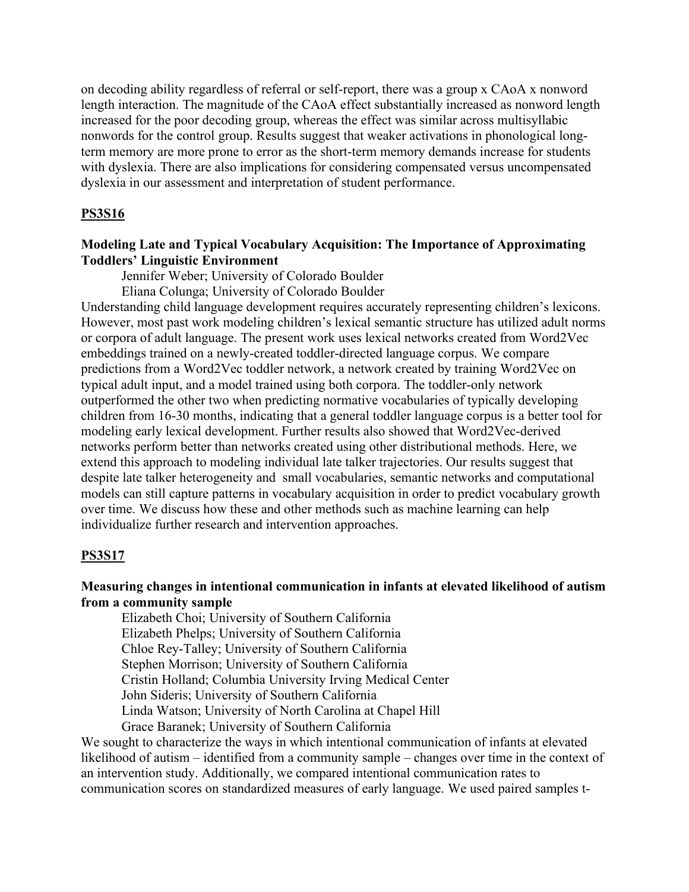on decoding ability regardless of referral or self-report, there was a group x CAoA x nonword length interaction. The magnitude of the CAoA effect substantially increased as nonword length increased for the poor decoding group, whereas the effect was similar across multisyllabic nonwords for the control group. Results suggest that weaker activations in phonological longterm memory are more prone to error as the short-term memory demands increase for students with dyslexia. There are also implications for considering compensated versus uncompensated dyslexia in our assessment and interpretation of student performance.

### **PS3S16**

### **Modeling Late and Typical Vocabulary Acquisition: The Importance of Approximating Toddlers' Linguistic Environment**

Jennifer Weber; University of Colorado Boulder

Eliana Colunga; University of Colorado Boulder

Understanding child language development requires accurately representing children's lexicons. However, most past work modeling children's lexical semantic structure has utilized adult norms or corpora of adult language. The present work uses lexical networks created from Word2Vec embeddings trained on a newly-created toddler-directed language corpus. We compare predictions from a Word2Vec toddler network, a network created by training Word2Vec on typical adult input, and a model trained using both corpora. The toddler-only network outperformed the other two when predicting normative vocabularies of typically developing children from 16-30 months, indicating that a general toddler language corpus is a better tool for modeling early lexical development. Further results also showed that Word2Vec-derived networks perform better than networks created using other distributional methods. Here, we extend this approach to modeling individual late talker trajectories. Our results suggest that despite late talker heterogeneity and small vocabularies, semantic networks and computational models can still capture patterns in vocabulary acquisition in order to predict vocabulary growth over time. We discuss how these and other methods such as machine learning can help individualize further research and intervention approaches.

#### **PS3S17**

# **Measuring changes in intentional communication in infants at elevated likelihood of autism from a community sample**

 Elizabeth Choi; University of Southern California Elizabeth Phelps; University of Southern California Chloe Rey-Talley; University of Southern California Stephen Morrison; University of Southern California Cristin Holland; Columbia University Irving Medical Center John Sideris; University of Southern California Linda Watson; University of North Carolina at Chapel Hill Grace Baranek; University of Southern California

We sought to characterize the ways in which intentional communication of infants at elevated likelihood of autism – identified from a community sample – changes over time in the context of an intervention study. Additionally, we compared intentional communication rates to communication scores on standardized measures of early language. We used paired samples t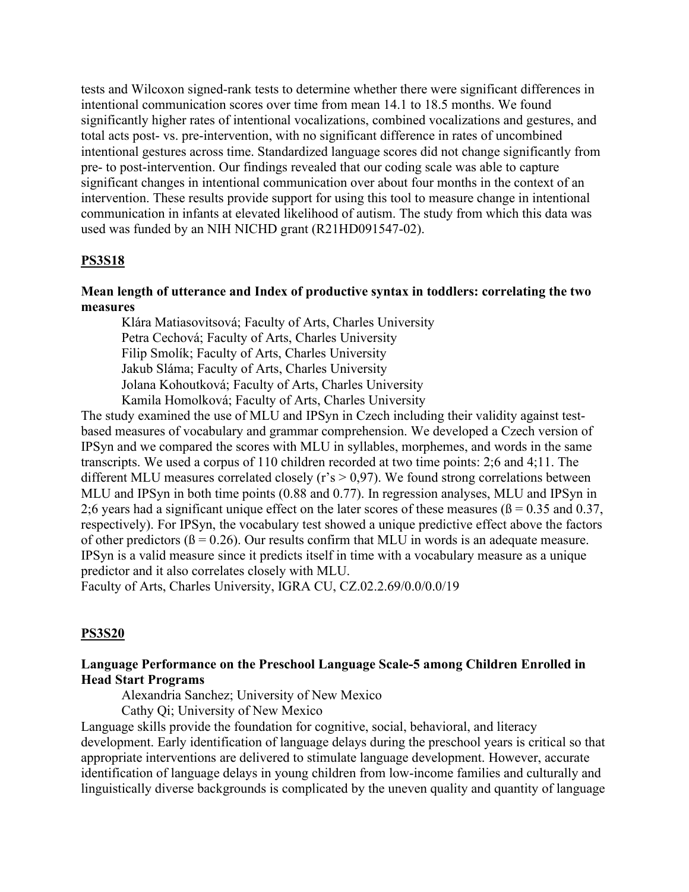tests and Wilcoxon signed-rank tests to determine whether there were significant differences in intentional communication scores over time from mean 14.1 to 18.5 months. We found significantly higher rates of intentional vocalizations, combined vocalizations and gestures, and total acts post- vs. pre-intervention, with no significant difference in rates of uncombined intentional gestures across time. Standardized language scores did not change significantly from pre- to post-intervention. Our findings revealed that our coding scale was able to capture significant changes in intentional communication over about four months in the context of an intervention. These results provide support for using this tool to measure change in intentional communication in infants at elevated likelihood of autism. The study from which this data was used was funded by an NIH NICHD grant (R21HD091547-02).

#### **PS3S18**

# **Mean length of utterance and Index of productive syntax in toddlers: correlating the two measures**

Klára Matiasovitsová; Faculty of Arts, Charles University Petra Cechová; Faculty of Arts, Charles University Filip Smolík; Faculty of Arts, Charles University Jakub Sláma; Faculty of Arts, Charles University Jolana Kohoutková; Faculty of Arts, Charles University Kamila Homolková; Faculty of Arts, Charles University

The study examined the use of MLU and IPSyn in Czech including their validity against testbased measures of vocabulary and grammar comprehension. We developed a Czech version of IPSyn and we compared the scores with MLU in syllables, morphemes, and words in the same transcripts. We used a corpus of 110 children recorded at two time points: 2;6 and 4;11. The different MLU measures correlated closely ( $r's > 0.97$ ). We found strong correlations between MLU and IPSyn in both time points (0.88 and 0.77). In regression analyses, MLU and IPSyn in 2;6 years had a significant unique effect on the later scores of these measures ( $\beta$  = 0.35 and 0.37, respectively). For IPSyn, the vocabulary test showed a unique predictive effect above the factors of other predictors ( $\beta$  = 0.26). Our results confirm that MLU in words is an adequate measure. IPSyn is a valid measure since it predicts itself in time with a vocabulary measure as a unique predictor and it also correlates closely with MLU.

Faculty of Arts, Charles University, IGRA CU, CZ.02.2.69/0.0/0.0/19

#### **PS3S20**

# **Language Performance on the Preschool Language Scale-5 among Children Enrolled in Head Start Programs**

Alexandria Sanchez; University of New Mexico

Cathy Qi; University of New Mexico

Language skills provide the foundation for cognitive, social, behavioral, and literacy development. Early identification of language delays during the preschool years is critical so that appropriate interventions are delivered to stimulate language development. However, accurate identification of language delays in young children from low-income families and culturally and linguistically diverse backgrounds is complicated by the uneven quality and quantity of language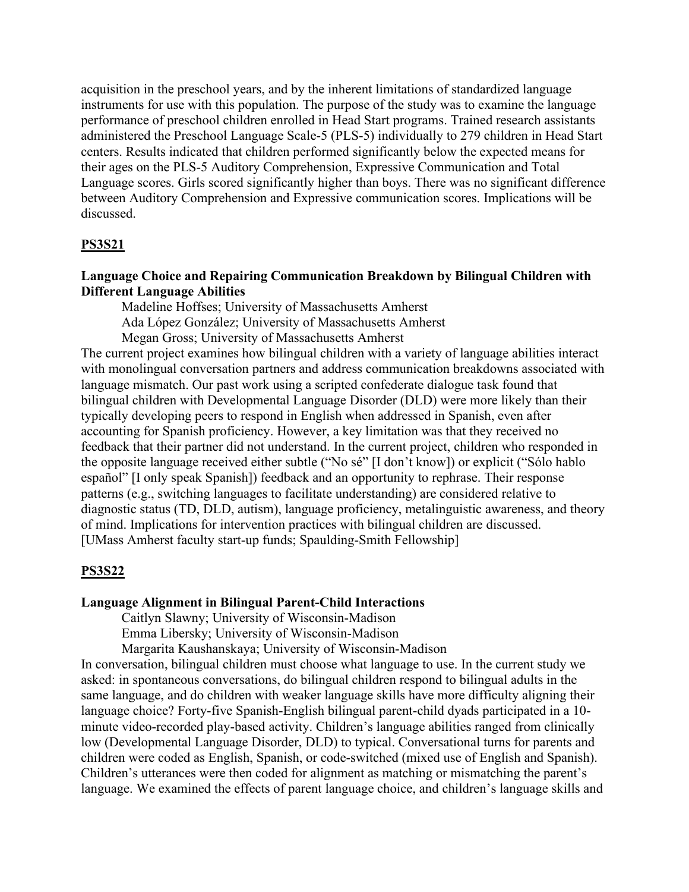acquisition in the preschool years, and by the inherent limitations of standardized language instruments for use with this population. The purpose of the study was to examine the language performance of preschool children enrolled in Head Start programs. Trained research assistants administered the Preschool Language Scale-5 (PLS-5) individually to 279 children in Head Start centers. Results indicated that children performed significantly below the expected means for their ages on the PLS-5 Auditory Comprehension, Expressive Communication and Total Language scores. Girls scored significantly higher than boys. There was no significant difference between Auditory Comprehension and Expressive communication scores. Implications will be discussed.

#### **PS3S21**

# **Language Choice and Repairing Communication Breakdown by Bilingual Children with Different Language Abilities**

 Madeline Hoffses; University of Massachusetts Amherst Ada López González; University of Massachusetts Amherst Megan Gross; University of Massachusetts Amherst

The current project examines how bilingual children with a variety of language abilities interact with monolingual conversation partners and address communication breakdowns associated with language mismatch. Our past work using a scripted confederate dialogue task found that bilingual children with Developmental Language Disorder (DLD) were more likely than their typically developing peers to respond in English when addressed in Spanish, even after accounting for Spanish proficiency. However, a key limitation was that they received no feedback that their partner did not understand. In the current project, children who responded in the opposite language received either subtle ("No sé" [I don't know]) or explicit ("Sólo hablo español" [I only speak Spanish]) feedback and an opportunity to rephrase. Their response patterns (e.g., switching languages to facilitate understanding) are considered relative to diagnostic status (TD, DLD, autism), language proficiency, metalinguistic awareness, and theory of mind. Implications for intervention practices with bilingual children are discussed. [UMass Amherst faculty start-up funds; Spaulding-Smith Fellowship]

#### **PS3S22**

#### **Language Alignment in Bilingual Parent-Child Interactions**

Caitlyn Slawny; University of Wisconsin-Madison

Emma Libersky; University of Wisconsin-Madison

Margarita Kaushanskaya; University of Wisconsin-Madison

In conversation, bilingual children must choose what language to use. In the current study we asked: in spontaneous conversations, do bilingual children respond to bilingual adults in the same language, and do children with weaker language skills have more difficulty aligning their language choice? Forty-five Spanish-English bilingual parent-child dyads participated in a 10 minute video-recorded play-based activity. Children's language abilities ranged from clinically low (Developmental Language Disorder, DLD) to typical. Conversational turns for parents and children were coded as English, Spanish, or code-switched (mixed use of English and Spanish). Children's utterances were then coded for alignment as matching or mismatching the parent's language. We examined the effects of parent language choice, and children's language skills and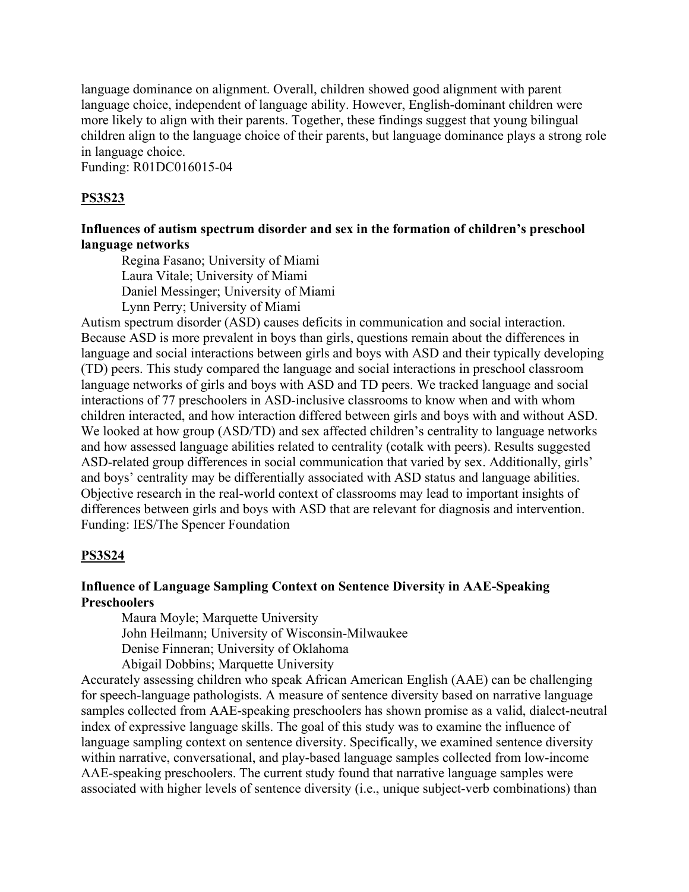language dominance on alignment. Overall, children showed good alignment with parent language choice, independent of language ability. However, English-dominant children were more likely to align with their parents. Together, these findings suggest that young bilingual children align to the language choice of their parents, but language dominance plays a strong role in language choice.

Funding: R01DC016015-04

#### **PS3S23**

# **Influences of autism spectrum disorder and sex in the formation of children's preschool language networks**

 Regina Fasano; University of Miami Laura Vitale; University of Miami Daniel Messinger; University of Miami Lynn Perry; University of Miami

Autism spectrum disorder (ASD) causes deficits in communication and social interaction. Because ASD is more prevalent in boys than girls, questions remain about the differences in language and social interactions between girls and boys with ASD and their typically developing (TD) peers. This study compared the language and social interactions in preschool classroom language networks of girls and boys with ASD and TD peers. We tracked language and social interactions of 77 preschoolers in ASD-inclusive classrooms to know when and with whom children interacted, and how interaction differed between girls and boys with and without ASD. We looked at how group (ASD/TD) and sex affected children's centrality to language networks and how assessed language abilities related to centrality (cotalk with peers). Results suggested ASD-related group differences in social communication that varied by sex. Additionally, girls' and boys' centrality may be differentially associated with ASD status and language abilities. Objective research in the real-world context of classrooms may lead to important insights of differences between girls and boys with ASD that are relevant for diagnosis and intervention. Funding: IES/The Spencer Foundation

#### **PS3S24**

### **Influence of Language Sampling Context on Sentence Diversity in AAE-Speaking Preschoolers**

Maura Moyle; Marquette University

John Heilmann; University of Wisconsin-Milwaukee

Denise Finneran; University of Oklahoma

Abigail Dobbins; Marquette University

Accurately assessing children who speak African American English (AAE) can be challenging for speech-language pathologists. A measure of sentence diversity based on narrative language samples collected from AAE-speaking preschoolers has shown promise as a valid, dialect-neutral index of expressive language skills. The goal of this study was to examine the influence of language sampling context on sentence diversity. Specifically, we examined sentence diversity within narrative, conversational, and play-based language samples collected from low-income AAE-speaking preschoolers. The current study found that narrative language samples were associated with higher levels of sentence diversity (i.e., unique subject-verb combinations) than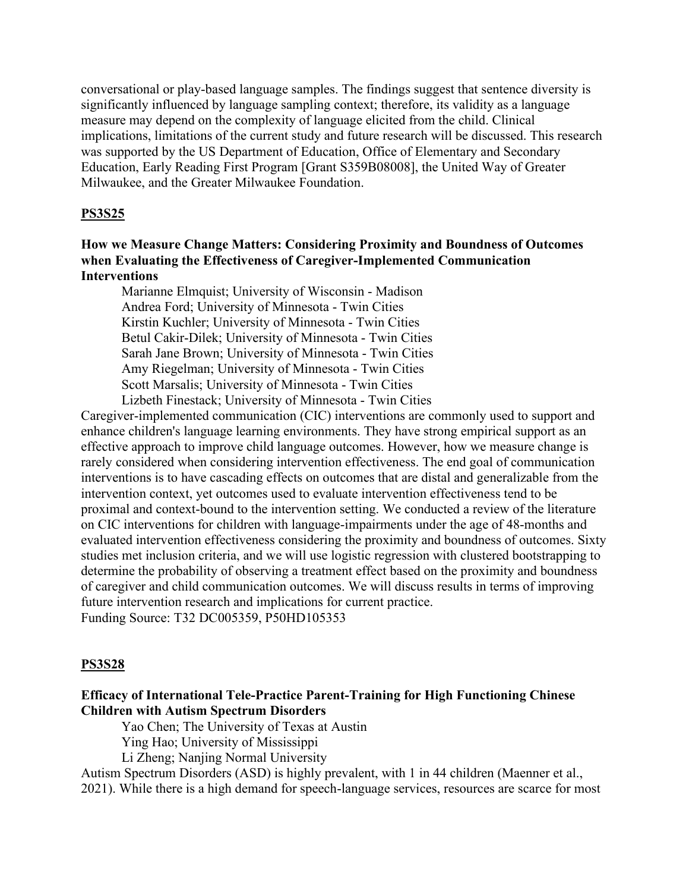conversational or play-based language samples. The findings suggest that sentence diversity is significantly influenced by language sampling context; therefore, its validity as a language measure may depend on the complexity of language elicited from the child. Clinical implications, limitations of the current study and future research will be discussed. This research was supported by the US Department of Education, Office of Elementary and Secondary Education, Early Reading First Program [Grant S359B08008], the United Way of Greater Milwaukee, and the Greater Milwaukee Foundation.

### **PS3S25**

### **How we Measure Change Matters: Considering Proximity and Boundness of Outcomes when Evaluating the Effectiveness of Caregiver-Implemented Communication Interventions**

 Marianne Elmquist; University of Wisconsin - Madison Andrea Ford; University of Minnesota - Twin Cities Kirstin Kuchler; University of Minnesota - Twin Cities Betul Cakir-Dilek; University of Minnesota - Twin Cities Sarah Jane Brown; University of Minnesota - Twin Cities Amy Riegelman; University of Minnesota - Twin Cities Scott Marsalis; University of Minnesota - Twin Cities Lizbeth Finestack; University of Minnesota - Twin Cities

Caregiver-implemented communication (CIC) interventions are commonly used to support and enhance children's language learning environments. They have strong empirical support as an effective approach to improve child language outcomes. However, how we measure change is rarely considered when considering intervention effectiveness. The end goal of communication interventions is to have cascading effects on outcomes that are distal and generalizable from the intervention context, yet outcomes used to evaluate intervention effectiveness tend to be proximal and context-bound to the intervention setting. We conducted a review of the literature on CIC interventions for children with language-impairments under the age of 48-months and evaluated intervention effectiveness considering the proximity and boundness of outcomes. Sixty studies met inclusion criteria, and we will use logistic regression with clustered bootstrapping to determine the probability of observing a treatment effect based on the proximity and boundness of caregiver and child communication outcomes. We will discuss results in terms of improving future intervention research and implications for current practice. Funding Source: T32 DC005359, P50HD105353

#### **PS3S28**

# **Efficacy of International Tele-Practice Parent-Training for High Functioning Chinese Children with Autism Spectrum Disorders**

Yao Chen; The University of Texas at Austin

Ying Hao; University of Mississippi

Li Zheng; Nanjing Normal University

Autism Spectrum Disorders (ASD) is highly prevalent, with 1 in 44 children (Maenner et al.,

2021). While there is a high demand for speech-language services, resources are scarce for most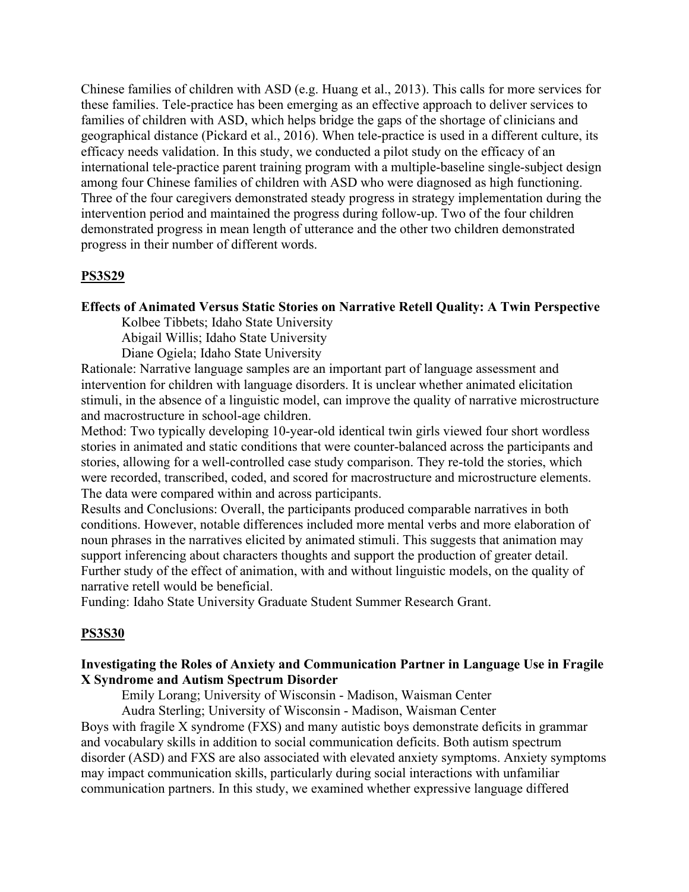Chinese families of children with ASD (e.g. Huang et al., 2013). This calls for more services for these families. Tele-practice has been emerging as an effective approach to deliver services to families of children with ASD, which helps bridge the gaps of the shortage of clinicians and geographical distance (Pickard et al., 2016). When tele-practice is used in a different culture, its efficacy needs validation. In this study, we conducted a pilot study on the efficacy of an international tele-practice parent training program with a multiple-baseline single-subject design among four Chinese families of children with ASD who were diagnosed as high functioning. Three of the four caregivers demonstrated steady progress in strategy implementation during the intervention period and maintained the progress during follow-up. Two of the four children demonstrated progress in mean length of utterance and the other two children demonstrated progress in their number of different words.

#### **PS3S29**

#### **Effects of Animated Versus Static Stories on Narrative Retell Quality: A Twin Perspective**

Kolbee Tibbets; Idaho State University

Abigail Willis; Idaho State University

Diane Ogiela; Idaho State University

Rationale: Narrative language samples are an important part of language assessment and intervention for children with language disorders. It is unclear whether animated elicitation stimuli, in the absence of a linguistic model, can improve the quality of narrative microstructure and macrostructure in school-age children.

Method: Two typically developing 10-year-old identical twin girls viewed four short wordless stories in animated and static conditions that were counter-balanced across the participants and stories, allowing for a well-controlled case study comparison. They re-told the stories, which were recorded, transcribed, coded, and scored for macrostructure and microstructure elements. The data were compared within and across participants.

Results and Conclusions: Overall, the participants produced comparable narratives in both conditions. However, notable differences included more mental verbs and more elaboration of noun phrases in the narratives elicited by animated stimuli. This suggests that animation may support inferencing about characters thoughts and support the production of greater detail. Further study of the effect of animation, with and without linguistic models, on the quality of narrative retell would be beneficial.

Funding: Idaho State University Graduate Student Summer Research Grant.

#### **PS3S30**

### **Investigating the Roles of Anxiety and Communication Partner in Language Use in Fragile X Syndrome and Autism Spectrum Disorder**

Emily Lorang; University of Wisconsin - Madison, Waisman Center

 Audra Sterling; University of Wisconsin - Madison, Waisman Center Boys with fragile X syndrome (FXS) and many autistic boys demonstrate deficits in grammar and vocabulary skills in addition to social communication deficits. Both autism spectrum disorder (ASD) and FXS are also associated with elevated anxiety symptoms. Anxiety symptoms may impact communication skills, particularly during social interactions with unfamiliar communication partners. In this study, we examined whether expressive language differed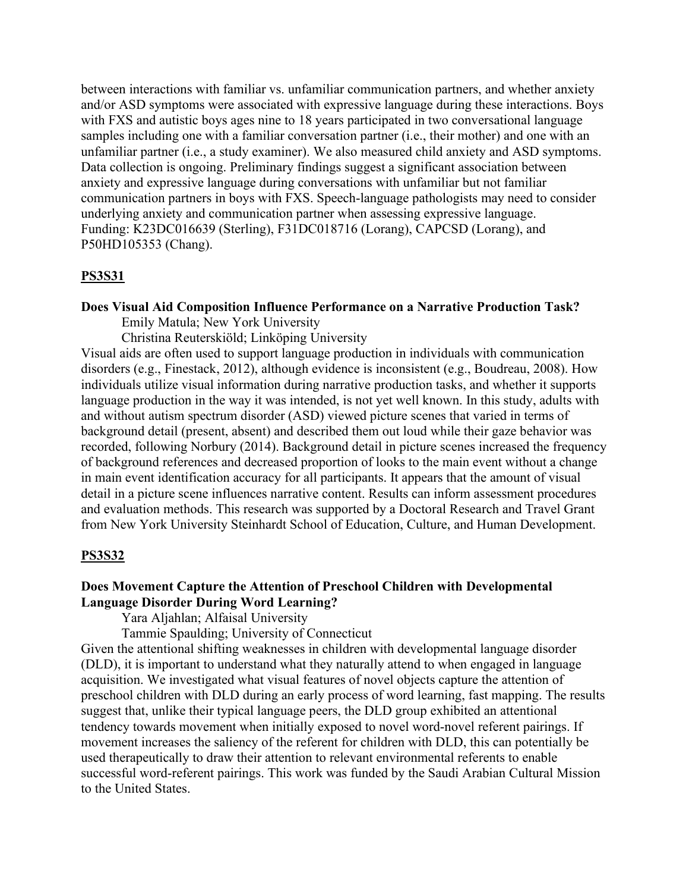between interactions with familiar vs. unfamiliar communication partners, and whether anxiety and/or ASD symptoms were associated with expressive language during these interactions. Boys with FXS and autistic boys ages nine to 18 years participated in two conversational language samples including one with a familiar conversation partner (i.e., their mother) and one with an unfamiliar partner (i.e., a study examiner). We also measured child anxiety and ASD symptoms. Data collection is ongoing. Preliminary findings suggest a significant association between anxiety and expressive language during conversations with unfamiliar but not familiar communication partners in boys with FXS. Speech-language pathologists may need to consider underlying anxiety and communication partner when assessing expressive language. Funding: K23DC016639 (Sterling), F31DC018716 (Lorang), CAPCSD (Lorang), and P50HD105353 (Chang).

#### **PS3S31**

#### **Does Visual Aid Composition Influence Performance on a Narrative Production Task?**

Emily Matula; New York University

Christina Reuterskiöld; Linköping University

Visual aids are often used to support language production in individuals with communication disorders (e.g., Finestack, 2012), although evidence is inconsistent (e.g., Boudreau, 2008). How individuals utilize visual information during narrative production tasks, and whether it supports language production in the way it was intended, is not yet well known. In this study, adults with and without autism spectrum disorder (ASD) viewed picture scenes that varied in terms of background detail (present, absent) and described them out loud while their gaze behavior was recorded, following Norbury (2014). Background detail in picture scenes increased the frequency of background references and decreased proportion of looks to the main event without a change in main event identification accuracy for all participants. It appears that the amount of visual detail in a picture scene influences narrative content. Results can inform assessment procedures and evaluation methods. This research was supported by a Doctoral Research and Travel Grant from New York University Steinhardt School of Education, Culture, and Human Development.

#### **PS3S32**

#### **Does Movement Capture the Attention of Preschool Children with Developmental Language Disorder During Word Learning?**

Yara Aljahlan; Alfaisal University

Tammie Spaulding; University of Connecticut

Given the attentional shifting weaknesses in children with developmental language disorder (DLD), it is important to understand what they naturally attend to when engaged in language acquisition. We investigated what visual features of novel objects capture the attention of preschool children with DLD during an early process of word learning, fast mapping. The results suggest that, unlike their typical language peers, the DLD group exhibited an attentional tendency towards movement when initially exposed to novel word-novel referent pairings. If movement increases the saliency of the referent for children with DLD, this can potentially be used therapeutically to draw their attention to relevant environmental referents to enable successful word-referent pairings. This work was funded by the Saudi Arabian Cultural Mission to the United States.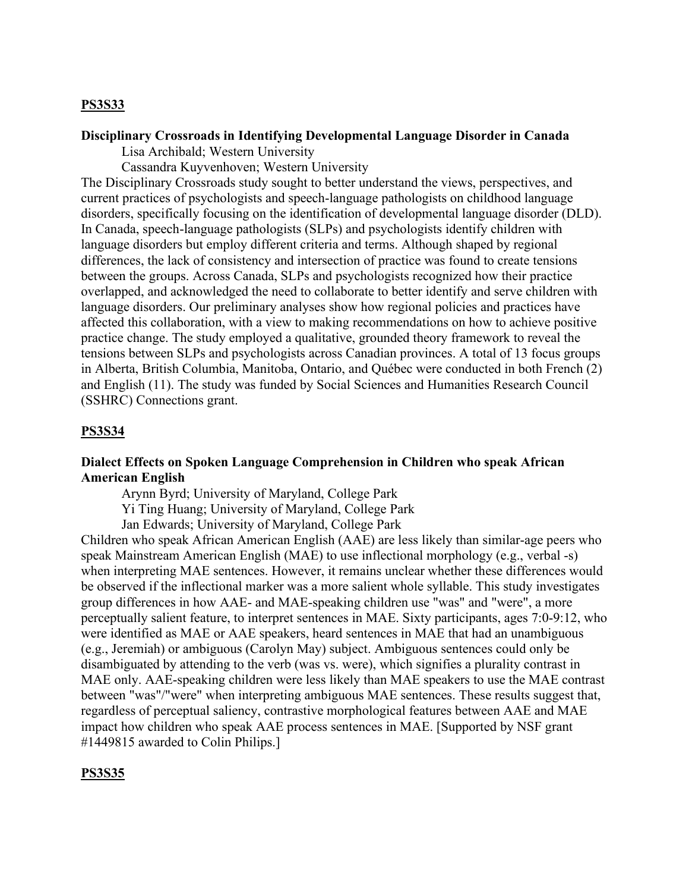#### **PS3S33**

# **Disciplinary Crossroads in Identifying Developmental Language Disorder in Canada**

Lisa Archibald; Western University

Cassandra Kuyvenhoven; Western University

The Disciplinary Crossroads study sought to better understand the views, perspectives, and current practices of psychologists and speech-language pathologists on childhood language disorders, specifically focusing on the identification of developmental language disorder (DLD). In Canada, speech-language pathologists (SLPs) and psychologists identify children with language disorders but employ different criteria and terms. Although shaped by regional differences, the lack of consistency and intersection of practice was found to create tensions between the groups. Across Canada, SLPs and psychologists recognized how their practice overlapped, and acknowledged the need to collaborate to better identify and serve children with language disorders. Our preliminary analyses show how regional policies and practices have affected this collaboration, with a view to making recommendations on how to achieve positive practice change. The study employed a qualitative, grounded theory framework to reveal the tensions between SLPs and psychologists across Canadian provinces. A total of 13 focus groups in Alberta, British Columbia, Manitoba, Ontario, and Québec were conducted in both French (2) and English (11). The study was funded by Social Sciences and Humanities Research Council (SSHRC) Connections grant.

### **PS3S34**

# **Dialect Effects on Spoken Language Comprehension in Children who speak African American English**

Arynn Byrd; University of Maryland, College Park

Yi Ting Huang; University of Maryland, College Park

Jan Edwards; University of Maryland, College Park

Children who speak African American English (AAE) are less likely than similar-age peers who speak Mainstream American English (MAE) to use inflectional morphology (e.g., verbal -s) when interpreting MAE sentences. However, it remains unclear whether these differences would be observed if the inflectional marker was a more salient whole syllable. This study investigates group differences in how AAE- and MAE-speaking children use "was" and "were", a more perceptually salient feature, to interpret sentences in MAE. Sixty participants, ages 7:0-9:12, who were identified as MAE or AAE speakers, heard sentences in MAE that had an unambiguous (e.g., Jeremiah) or ambiguous (Carolyn May) subject. Ambiguous sentences could only be disambiguated by attending to the verb (was vs. were), which signifies a plurality contrast in MAE only. AAE-speaking children were less likely than MAE speakers to use the MAE contrast between "was"/"were" when interpreting ambiguous MAE sentences. These results suggest that, regardless of perceptual saliency, contrastive morphological features between AAE and MAE impact how children who speak AAE process sentences in MAE. [Supported by NSF grant #1449815 awarded to Colin Philips.]

#### **PS3S35**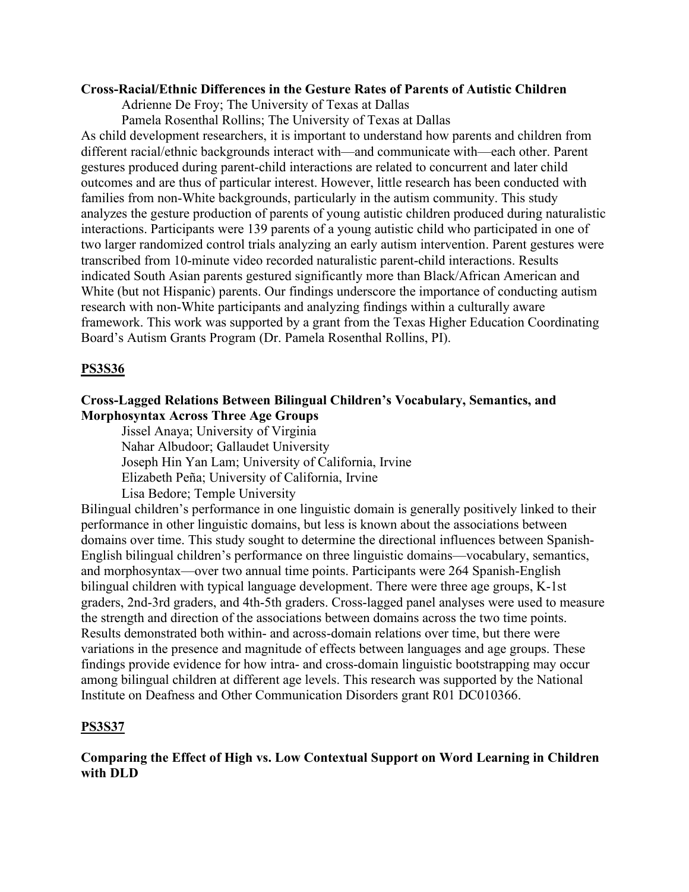#### **Cross-Racial/Ethnic Differences in the Gesture Rates of Parents of Autistic Children**

Adrienne De Froy; The University of Texas at Dallas

Pamela Rosenthal Rollins; The University of Texas at Dallas

As child development researchers, it is important to understand how parents and children from different racial/ethnic backgrounds interact with—and communicate with—each other. Parent gestures produced during parent-child interactions are related to concurrent and later child outcomes and are thus of particular interest. However, little research has been conducted with families from non-White backgrounds, particularly in the autism community. This study analyzes the gesture production of parents of young autistic children produced during naturalistic interactions. Participants were 139 parents of a young autistic child who participated in one of two larger randomized control trials analyzing an early autism intervention. Parent gestures were transcribed from 10-minute video recorded naturalistic parent-child interactions. Results indicated South Asian parents gestured significantly more than Black/African American and White (but not Hispanic) parents. Our findings underscore the importance of conducting autism research with non-White participants and analyzing findings within a culturally aware framework. This work was supported by a grant from the Texas Higher Education Coordinating Board's Autism Grants Program (Dr. Pamela Rosenthal Rollins, PI).

# **PS3S36**

# **Cross-Lagged Relations Between Bilingual Children's Vocabulary, Semantics, and Morphosyntax Across Three Age Groups**

Jissel Anaya; University of Virginia Nahar Albudoor; Gallaudet University Joseph Hin Yan Lam; University of California, Irvine Elizabeth Peña; University of California, Irvine Lisa Bedore; Temple University

Bilingual children's performance in one linguistic domain is generally positively linked to their performance in other linguistic domains, but less is known about the associations between domains over time. This study sought to determine the directional influences between Spanish-English bilingual children's performance on three linguistic domains—vocabulary, semantics, and morphosyntax—over two annual time points. Participants were 264 Spanish-English bilingual children with typical language development. There were three age groups, K-1st graders, 2nd-3rd graders, and 4th-5th graders. Cross-lagged panel analyses were used to measure the strength and direction of the associations between domains across the two time points. Results demonstrated both within- and across-domain relations over time, but there were variations in the presence and magnitude of effects between languages and age groups. These findings provide evidence for how intra- and cross-domain linguistic bootstrapping may occur among bilingual children at different age levels. This research was supported by the National Institute on Deafness and Other Communication Disorders grant R01 DC010366.

# **PS3S37**

# **Comparing the Effect of High vs. Low Contextual Support on Word Learning in Children with DLD**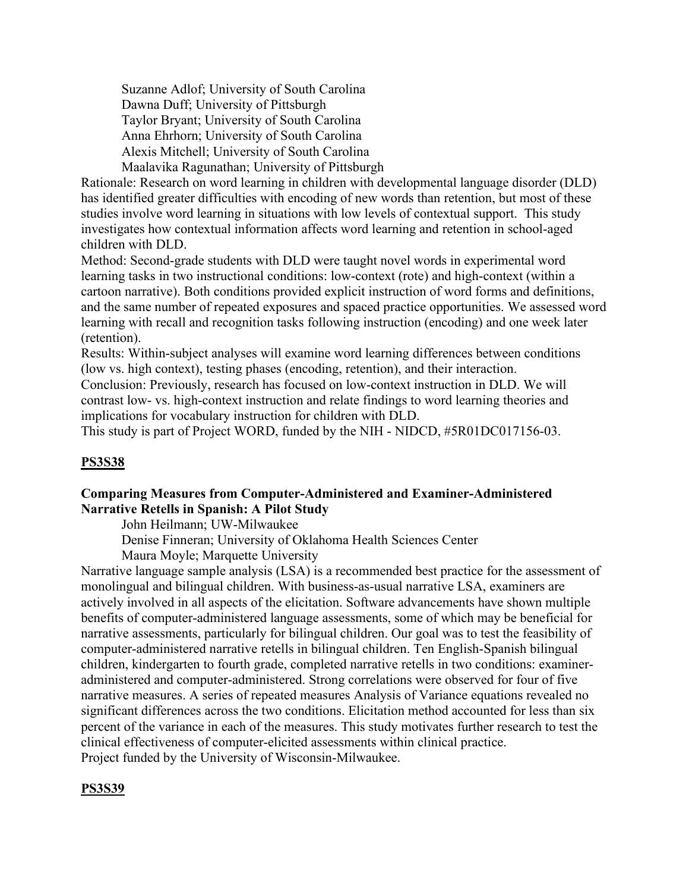Suzanne Adlof; University of South Carolina Dawna Duff; University of Pittsburgh Taylor Bryant; University of South Carolina Anna Ehrhorn; University of South Carolina Alexis Mitchell; University of South Carolina Maalavika Ragunathan; University of Pittsburgh

Rationale: Research on word learning in children with developmental language disorder (DLD) has identified greater difficulties with encoding of new words than retention, but most of these studies involve word learning in situations with low levels of contextual support. This study investigates how contextual information affects word learning and retention in school-aged children with DLD.

Method: Second-grade students with DLD were taught novel words in experimental word learning tasks in two instructional conditions: low-context (rote) and high-context (within a cartoon narrative). Both conditions provided explicit instruction of word forms and definitions, and the same number of repeated exposures and spaced practice opportunities. We assessed word learning with recall and recognition tasks following instruction (encoding) and one week later (retention).

Results: Within-subject analyses will examine word learning differences between conditions (low vs. high context), testing phases (encoding, retention), and their interaction.

Conclusion: Previously, research has focused on low-context instruction in DLD. We will contrast low- vs. high-context instruction and relate findings to word learning theories and implications for vocabulary instruction for children with DLD.

This study is part of Project WORD, funded by the NIH - NIDCD, #5R01DC017156-03.

# **PS3S38**

# **Comparing Measures from Computer-Administered and Examiner-Administered Narrative Retells in Spanish: A Pilot Study**

John Heilmann; UW-Milwaukee

Denise Finneran; University of Oklahoma Health Sciences Center

Maura Moyle; Marquette University

Narrative language sample analysis (LSA) is a recommended best practice for the assessment of monolingual and bilingual children. With business-as-usual narrative LSA, examiners are actively involved in all aspects of the elicitation. Software advancements have shown multiple benefits of computer-administered language assessments, some of which may be beneficial for narrative assessments, particularly for bilingual children. Our goal was to test the feasibility of computer-administered narrative retells in bilingual children. Ten English-Spanish bilingual children, kindergarten to fourth grade, completed narrative retells in two conditions: examineradministered and computer-administered. Strong correlations were observed for four of five narrative measures. A series of repeated measures Analysis of Variance equations revealed no significant differences across the two conditions. Elicitation method accounted for less than six percent of the variance in each of the measures. This study motivates further research to test the clinical effectiveness of computer-elicited assessments within clinical practice. Project funded by the University of Wisconsin-Milwaukee.

# **PS3S39**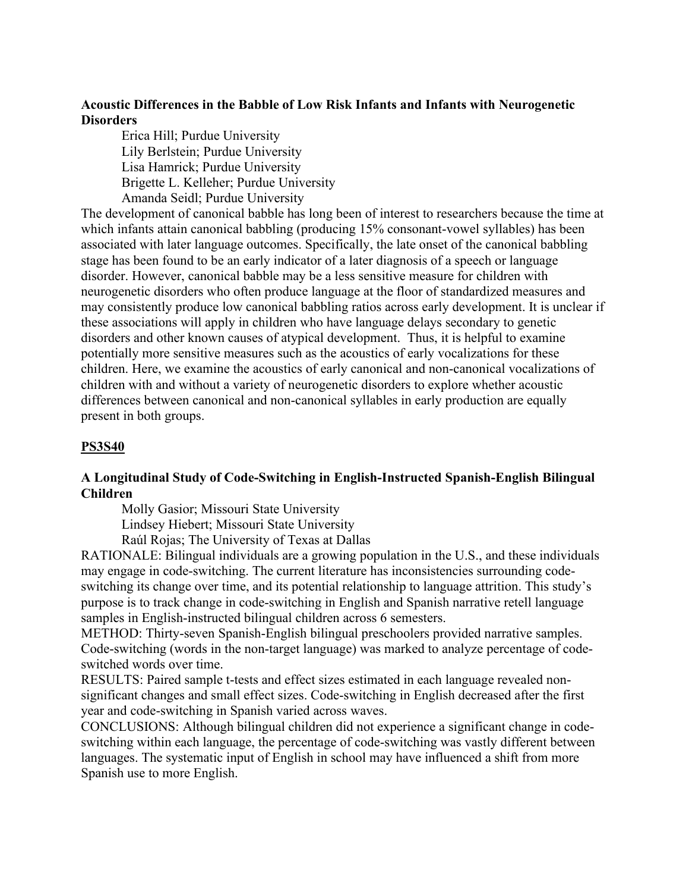# **Acoustic Differences in the Babble of Low Risk Infants and Infants with Neurogenetic Disorders**

Erica Hill; Purdue University Lily Berlstein; Purdue University Lisa Hamrick; Purdue University Brigette L. Kelleher; Purdue University Amanda Seidl; Purdue University

The development of canonical babble has long been of interest to researchers because the time at which infants attain canonical babbling (producing 15% consonant-vowel syllables) has been associated with later language outcomes. Specifically, the late onset of the canonical babbling stage has been found to be an early indicator of a later diagnosis of a speech or language disorder. However, canonical babble may be a less sensitive measure for children with neurogenetic disorders who often produce language at the floor of standardized measures and may consistently produce low canonical babbling ratios across early development. It is unclear if these associations will apply in children who have language delays secondary to genetic disorders and other known causes of atypical development. Thus, it is helpful to examine potentially more sensitive measures such as the acoustics of early vocalizations for these children. Here, we examine the acoustics of early canonical and non-canonical vocalizations of children with and without a variety of neurogenetic disorders to explore whether acoustic differences between canonical and non-canonical syllables in early production are equally present in both groups.

# **PS3S40**

# **A Longitudinal Study of Code-Switching in English-Instructed Spanish-English Bilingual Children**

Molly Gasior; Missouri State University

Lindsey Hiebert; Missouri State University

Raúl Rojas; The University of Texas at Dallas

RATIONALE: Bilingual individuals are a growing population in the U.S., and these individuals may engage in code-switching. The current literature has inconsistencies surrounding codeswitching its change over time, and its potential relationship to language attrition. This study's purpose is to track change in code-switching in English and Spanish narrative retell language samples in English-instructed bilingual children across 6 semesters.

METHOD: Thirty-seven Spanish-English bilingual preschoolers provided narrative samples. Code-switching (words in the non-target language) was marked to analyze percentage of codeswitched words over time.

RESULTS: Paired sample t-tests and effect sizes estimated in each language revealed nonsignificant changes and small effect sizes. Code-switching in English decreased after the first year and code-switching in Spanish varied across waves.

CONCLUSIONS: Although bilingual children did not experience a significant change in codeswitching within each language, the percentage of code-switching was vastly different between languages. The systematic input of English in school may have influenced a shift from more Spanish use to more English.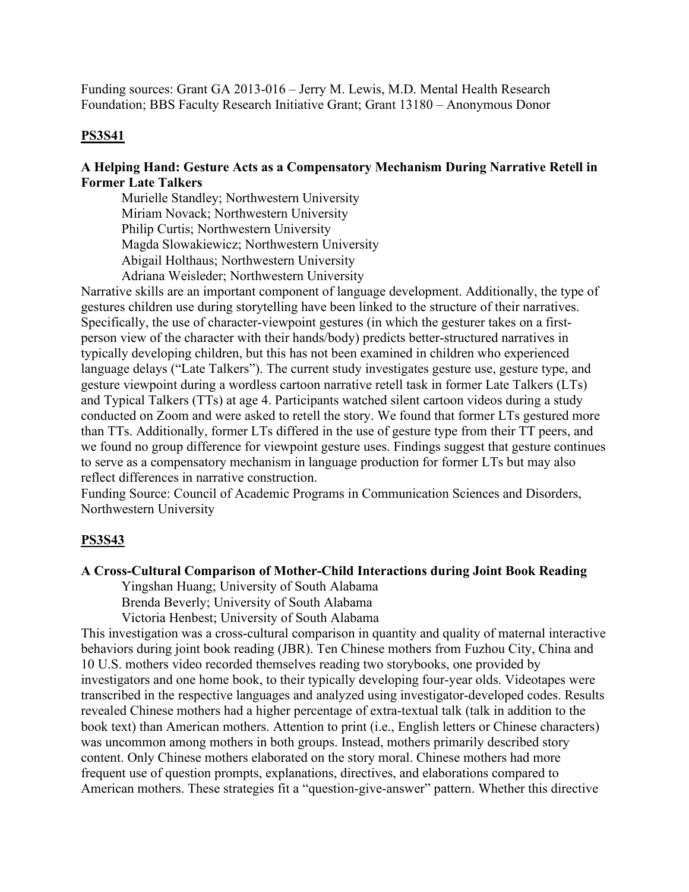Funding sources: Grant GA 2013-016 – Jerry M. Lewis, M.D. Mental Health Research Foundation; BBS Faculty Research Initiative Grant; Grant 13180 – Anonymous Donor

# **PS3S41**

# **A Helping Hand: Gesture Acts as a Compensatory Mechanism During Narrative Retell in Former Late Talkers**

Murielle Standley; Northwestern University Miriam Novack; Northwestern University Philip Curtis; Northwestern University Magda Slowakiewicz; Northwestern University Abigail Holthaus; Northwestern University Adriana Weisleder; Northwestern University

Narrative skills are an important component of language development. Additionally, the type of gestures children use during storytelling have been linked to the structure of their narratives. Specifically, the use of character-viewpoint gestures (in which the gesturer takes on a firstperson view of the character with their hands/body) predicts better-structured narratives in typically developing children, but this has not been examined in children who experienced language delays ("Late Talkers"). The current study investigates gesture use, gesture type, and gesture viewpoint during a wordless cartoon narrative retell task in former Late Talkers (LTs) and Typical Talkers (TTs) at age 4. Participants watched silent cartoon videos during a study conducted on Zoom and were asked to retell the story. We found that former LTs gestured more than TTs. Additionally, former LTs differed in the use of gesture type from their TT peers, and we found no group difference for viewpoint gesture uses. Findings suggest that gesture continues to serve as a compensatory mechanism in language production for former LTs but may also reflect differences in narrative construction.

Funding Source: Council of Academic Programs in Communication Sciences and Disorders, Northwestern University

# **PS3S43**

# **A Cross-Cultural Comparison of Mother-Child Interactions during Joint Book Reading**

 Yingshan Huang; University of South Alabama Brenda Beverly; University of South Alabama

Victoria Henbest; University of South Alabama

This investigation was a cross-cultural comparison in quantity and quality of maternal interactive behaviors during joint book reading (JBR). Ten Chinese mothers from Fuzhou City, China and 10 U.S. mothers video recorded themselves reading two storybooks, one provided by investigators and one home book, to their typically developing four-year olds. Videotapes were transcribed in the respective languages and analyzed using investigator-developed codes. Results revealed Chinese mothers had a higher percentage of extra-textual talk (talk in addition to the book text) than American mothers. Attention to print (i.e., English letters or Chinese characters) was uncommon among mothers in both groups. Instead, mothers primarily described story content. Only Chinese mothers elaborated on the story moral. Chinese mothers had more frequent use of question prompts, explanations, directives, and elaborations compared to American mothers. These strategies fit a "question-give-answer" pattern. Whether this directive